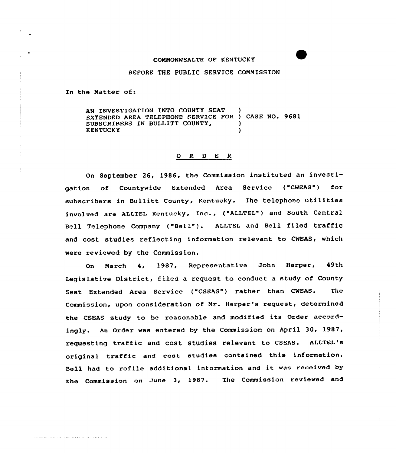#### COMMONWEALTH OF KENTUCKY

### BEFORE THE PUBLIC SERVICE COMMISSION

In the Natter of:

AN INVESTIGATION INTO COUNTY SEAT EXTENDED AREA TELEPHONE SERVICE FOR ) CASE NO. 9681 SUBSCRIBERS IN BULLITT COUNTY, **KENTUCKY** 

### 0 R <sup>D</sup> E R

On September 26, 1986, the Commission instituted an investigation of Countywide Extended Area Service ("CWEAS") for subscribers in Bullitt County, Kentucky. The telephone utilities involved are ALLTEL Kentucky, Inc., ("ALLTEL") and south central Bell Telephone Company ("Bell" ). ALLTEL and Bell filed traffic and cost studies reflecting information relevant to CWEAS, which were reviewed by the Commission.

On March 4, 1987, Representative John Harper, 49th Legislative District, filed a request to conduct a study of County Seat Extended Area Service ("CSEAS") rather than CWEAS. The Commission, upon consideration of Mr. Harper's request, determined the CSEAS study to be reasonable and modified its Order accordingly. An Order was entered by the Commission on April 30, 1987, requesting traffic and cost studies relevant to CSEAS. ALLTEL's original traffic and cost studies contained this information. Sell had to refile additional information and it was received by the Commission on June 3, 1987. The Commission reviewed and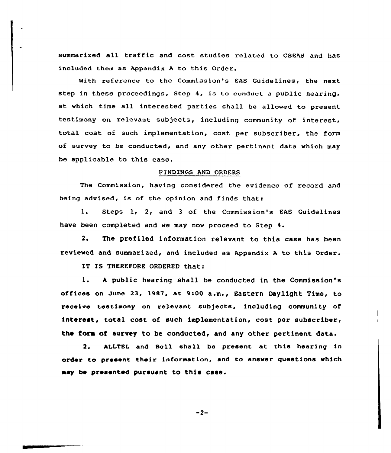summarized all traffic and cost studies related to CSEAS and has included them as Appendix <sup>A</sup> to this Order.

With reference to the Commission's EAS Guidelines, the next step in these proceedings, Step 4, is to conduct a public hearing, at which time all interested parties shall be allowed to present testimony on relevant subjects, including community of interest, total cost of such implementation, cost per subscriber, the form of survey to be conducted, and any other pertinent data which may be applicable to this case.

### FINDINGS AND ORDERS

The Commission, having considered the evidence of record and being advised, is of the opinion and finds that:

1. Steps 1, 2, and <sup>3</sup> of the Commission's EAS Guidelines have been completed and we may now proceed to Step 4.

2. The prefiled information relevant to this case has been reviewed and summarized, and included as Appendix <sup>A</sup> to this Order.

IT IS THEREFORE ORDERED that:

1. <sup>h</sup> public hearing shall be conducted in the Commission's offices on June 23, 1987, at 9:00 a.m., Eastern Daylight Time, to receive testimony on relevant subjects, including community of interest, total cost of such implementation, cost per subscriber, the fora of survey to be conducted, and any other pertinent data.

2. ALLTEL and Sell shall be present at this hearing in order to present their information, and to answer questions which aay be presented pursuant to this case.

 $-2-$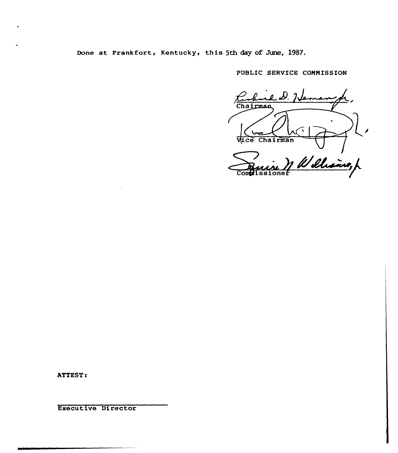Done at Frankfort, Kentucky, this 5th day of June, 1987.

PUBLIC SERVICE COMMISSION

Chairman ce Chairman 1 Williams, p  $\overline{\text{Conf}}$ 

ATTEST:

Executive Director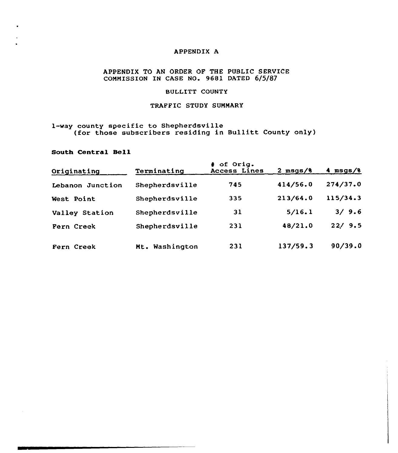## APPENDIX A

### APPENDIX TO AN ORDER OF THE PUBLIC SERVICE COMMISSION IN CASE NO. 9681 DATED 6/5/87

## BULLITT COUNTY

## TRAFFIC STUDY SUMMARY

# 1-way county specific to Shepherdsville (for those subscribers residing in Bullitt County only)

### South Central Sell

| Originating      | Terminating    | # of Orig.<br>Access Lines | $2$ msgs/ $8$ | 4 $msgs/8$ |
|------------------|----------------|----------------------------|---------------|------------|
| Lebanon Junction | Shepherdsville | 745                        | 414/56.0      | 274/37.0   |
| West Point       | Shepherdsville | 335                        | 213/64.0      | 115/34.3   |
| Valley Station   | Shepherdsville | 31                         | 5/16.1        | 3/9.6      |
| Fern Creek       | Shepherdsville | 231                        | 48/21.0       | 22/9.5     |
| Fern Creek       | Mt. Washington | 231                        | 137/59.3      | 90/39.0    |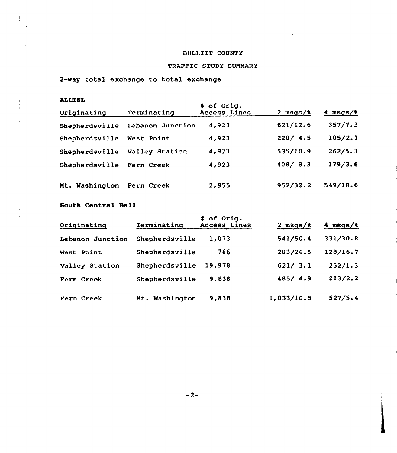# BULLITT COUNTY

 $\sim 10^6$ 

# TRAFFIC STUDY SUNMARY

2-way total exchange to total exchange

## ALLTEL

 $\frac{1}{2}$  $\ddot{\phantom{a}}$ 

 $\mathcal{L}$ 

 $\alpha = 1, \ldots, \alpha$  .

| alltel         |                  |                            |               |               |  |  |  |  |
|----------------|------------------|----------------------------|---------------|---------------|--|--|--|--|
| Originating    | Terminating      | # of Orig.<br>Access Lines | $2$ msgs/ $8$ | $4$ msgs/ $8$ |  |  |  |  |
| Shepherdsville | Lebanon Junction | 4,923                      | 621/12.6      | 357/7.3       |  |  |  |  |
| Shepherdsville | West Point       | 4,923                      | 220/4.5       | 105/2.1       |  |  |  |  |
| Shepherdsville | Valley Station   | 4,923                      | 535/10.9      | 262/5.3       |  |  |  |  |
| Shepherdsville | Fern Creek       | 4,923                      | 408 / 8.3     | 179/3.6       |  |  |  |  |
| Mt. Washington | Fern Creek       | 2,955                      | 952/32.2      | 549/18.6      |  |  |  |  |

# South Central Bell

| Originating      | Terminating    | # of Orig.<br>Access Lines | $2$ msgs/ $8$ | $4$ msgs/ $8$ |
|------------------|----------------|----------------------------|---------------|---------------|
| Lebanon Junction | Shepherdsville | 1,073                      | 541/50.4      | 331/30.8      |
| West Point       | Shepherdsville | 766                        | 203/26.5      | 128/16.7      |
| Valley Station   | Shepherdsville | 19,978                     | 621/3.1       | 252/1.3       |
| Fern Creek       | Shepherdsville | 9,838                      | 485/4.9       | 213/2.2       |
| Fern Creek       | Mt. Washington | 9,838                      | 1,033/10.5    | 527/5.4       |

 $-2-$ 

متسلمين سعيدت والدوارة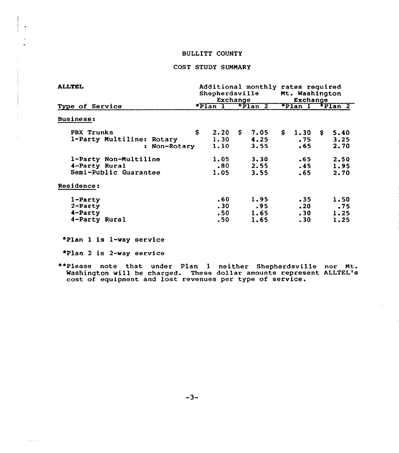## BULLITT COUNTY

## COST STUDY SUMMARY

| ALLTEL                                                          |    | Additional monthly rates required<br>Mt. Washington<br><b>Shepherdsville</b><br>Exchange<br>Exchange |    |                             |    |                               |  |                             |
|-----------------------------------------------------------------|----|------------------------------------------------------------------------------------------------------|----|-----------------------------|----|-------------------------------|--|-----------------------------|
| Type of Service                                                 |    | $*$ Plan $1^-$                                                                                       |    | $\star$ Plan 2              |    | $F$ Plan I                    |  | $F$ Plan 2                  |
| <b>Business:</b>                                                |    |                                                                                                      |    |                             |    |                               |  |                             |
| PBX Trunks<br>1-Party Multiline: Rotary<br>: Non-Rotary         | \$ | 2.20<br>1.30<br>1.10                                                                                 | S. | 7.05<br>4.25<br>3.55        | \$ | 1.30 S<br>.75<br>. 65         |  | 5.40<br>3.25<br>2.70        |
| 1-Party Non-Multiline<br>4-Party Rural<br>Semi-Public Guarantee |    | 1.05<br>.80<br>1.05                                                                                  |    | 3.30<br>2.55<br>3.55        |    | .65<br>.45<br>. 65            |  | 2.50<br>1.95<br>2.70        |
| Residence:                                                      |    |                                                                                                      |    |                             |    |                               |  |                             |
| $1$ -Party<br>$2$ -Party<br>4-Party<br>4-Party Rural            |    | .60<br>.30<br>.50 <sub>1</sub><br>.50                                                                |    | 1.95<br>.95<br>1.65<br>1.65 |    | .35<br>$.20 \,$<br>.30<br>.30 |  | 1.50<br>.75<br>1.25<br>1.25 |

~Plan 1 is 1-way service

~Plan <sup>2</sup> is 2-way service

 $\omega\omega\omega$  . The  $\omega$ 

\*\*Please note that under Plan 1 neither Shepherdsville nor Mt. Washington will be charged. These do11ar amounts represent ALLTEL's washington with be thanged. These doffer amounts represent and lost revenues per type of service.